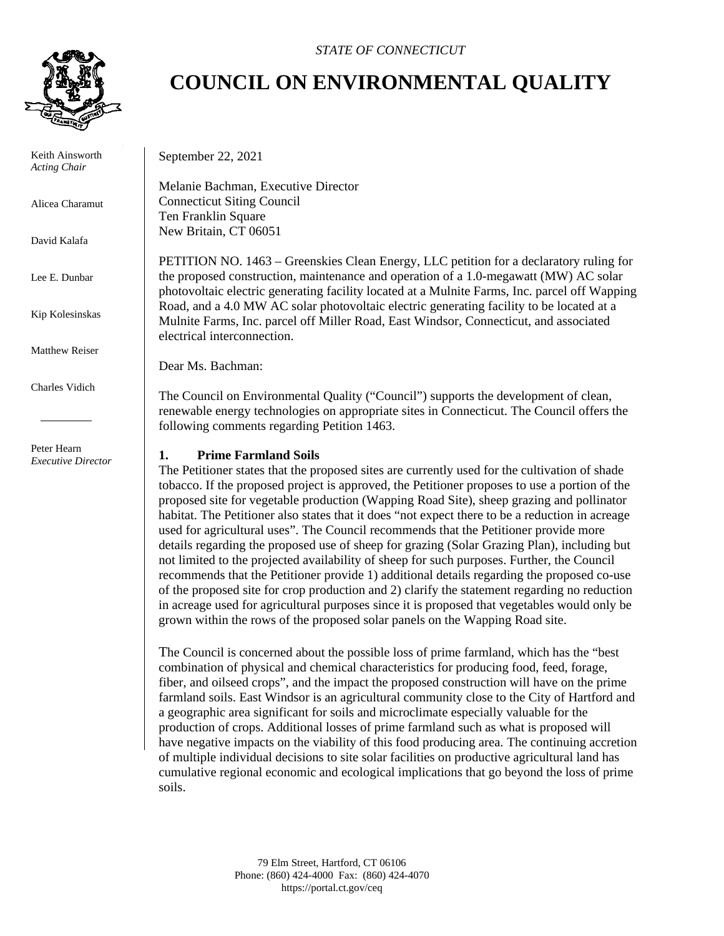

 Keith Ainsworth *Acting Chair*

Alicea Charamut

David Kalafa

Lee E. Dunbar

Kip Kolesinskas

Matthew Reiser

Charles Vidich

 Peter Hearn *Executive Director*

## *STATE OF CONNECTICUT*

## **COUNCIL ON ENVIRONMENTAL QUALITY**

September 22, 2021

Melanie Bachman, Executive Director Connecticut Siting Council Ten Franklin Square New Britain, CT 06051

PETITION NO. 1463 – Greenskies Clean Energy, LLC petition for a declaratory ruling for the proposed construction, maintenance and operation of a 1.0-megawatt (MW) AC solar photovoltaic electric generating facility located at a Mulnite Farms, Inc. parcel off Wapping Road, and a 4.0 MW AC solar photovoltaic electric generating facility to be located at a Mulnite Farms, Inc. parcel off Miller Road, East Windsor, Connecticut, and associated electrical interconnection.

Dear Ms. Bachman:

The Council on Environmental Quality ("Council") supports the development of clean, renewable energy technologies on appropriate sites in Connecticut. The Council offers the following comments regarding Petition 1463.

## **1. Prime Farmland Soils**

The Petitioner states that the proposed sites are currently used for the cultivation of shade tobacco. If the proposed project is approved, the Petitioner proposes to use a portion of the proposed site for vegetable production (Wapping Road Site), sheep grazing and pollinator habitat. The Petitioner also states that it does "not expect there to be a reduction in acreage used for agricultural uses". The Council recommends that the Petitioner provide more details regarding the proposed use of sheep for grazing (Solar Grazing Plan), including but not limited to the projected availability of sheep for such purposes. Further, the Council recommends that the Petitioner provide 1) additional details regarding the proposed co-use of the proposed site for crop production and 2) clarify the statement regarding no reduction in acreage used for agricultural purposes since it is proposed that vegetables would only be grown within the rows of the proposed solar panels on the Wapping Road site.

The Council is concerned about the possible loss of prime farmland, which has the "best combination of physical and chemical characteristics for producing food, feed, forage, fiber, and oilseed crops", and the impact the proposed construction will have on the prime farmland soils. East Windsor is an agricultural community close to the City of Hartford and a geographic area significant for soils and microclimate especially valuable for the production of crops. Additional losses of prime farmland such as what is proposed will have negative impacts on the viability of this food producing area. The continuing accretion of multiple individual decisions to site solar facilities on productive agricultural land has cumulative regional economic and ecological implications that go beyond the loss of prime soils.